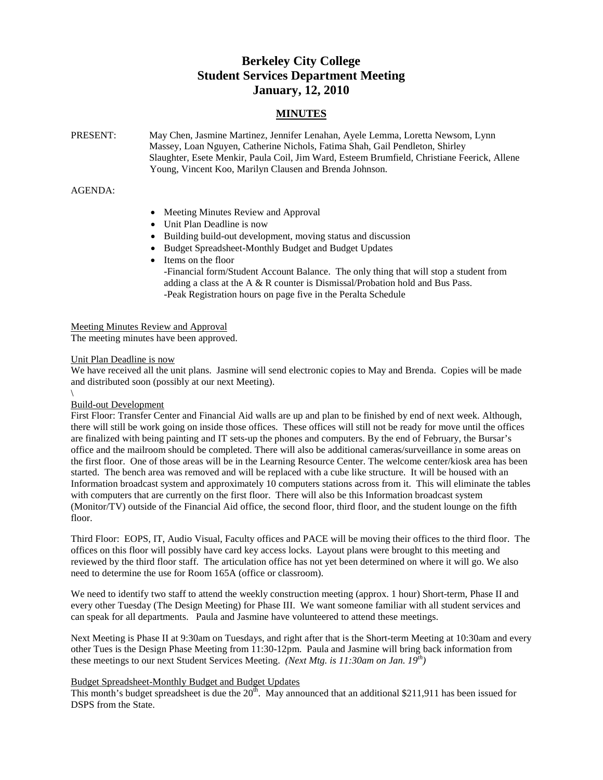# **Berkeley City College Student Services Department Meeting January, 12, 2010**

# **MINUTES**

| PRESENT: | May Chen, Jasmine Martinez, Jennifer Lenahan, Ayele Lemma, Loretta Newsom, Lynn             |
|----------|---------------------------------------------------------------------------------------------|
|          | Massey, Loan Nguyen, Catherine Nichols, Fatima Shah, Gail Pendleton, Shirley                |
|          | Slaughter, Esete Menkir, Paula Coil, Jim Ward, Esteem Brumfield, Christiane Feerick, Allene |
|          | Young, Vincent Koo, Marilyn Clausen and Brenda Johnson.                                     |

# AGENDA:

- Meeting Minutes Review and Approval
- Unit Plan Deadline is now
- Building build-out development, moving status and discussion
- Budget Spreadsheet-Monthly Budget and Budget Updates
- Items on the floor -Financial form/Student Account Balance. The only thing that will stop a student from adding a class at the A & R counter is Dismissal/Probation hold and Bus Pass. -Peak Registration hours on page five in the Peralta Schedule

Meeting Minutes Review and Approval The meeting minutes have been approved.

### Unit Plan Deadline is now

We have received all the unit plans. Jasmine will send electronic copies to May and Brenda. Copies will be made and distributed soon (possibly at our next Meeting).

#### \ Build-out Development

First Floor: Transfer Center and Financial Aid walls are up and plan to be finished by end of next week. Although, there will still be work going on inside those offices. These offices will still not be ready for move until the offices are finalized with being painting and IT sets-up the phones and computers. By the end of February, the Bursar's office and the mailroom should be completed. There will also be additional cameras/surveillance in some areas on the first floor. One of those areas will be in the Learning Resource Center. The welcome center/kiosk area has been started. The bench area was removed and will be replaced with a cube like structure. It will be housed with an Information broadcast system and approximately 10 computers stations across from it. This will eliminate the tables with computers that are currently on the first floor. There will also be this Information broadcast system (Monitor/TV) outside of the Financial Aid office, the second floor, third floor, and the student lounge on the fifth floor.

Third Floor: EOPS, IT, Audio Visual, Faculty offices and PACE will be moving their offices to the third floor. The offices on this floor will possibly have card key access locks. Layout plans were brought to this meeting and reviewed by the third floor staff. The articulation office has not yet been determined on where it will go. We also need to determine the use for Room 165A (office or classroom).

We need to identify two staff to attend the weekly construction meeting (approx. 1 hour) Short-term, Phase II and every other Tuesday (The Design Meeting) for Phase III. We want someone familiar with all student services and can speak for all departments. Paula and Jasmine have volunteered to attend these meetings.

Next Meeting is Phase II at 9:30am on Tuesdays, and right after that is the Short-term Meeting at 10:30am and every other Tues is the Design Phase Meeting from 11:30-12pm. Paula and Jasmine will bring back information from these meetings to our next Student Services Meeting. *(Next Mtg. is 11:30am on Jan. 19th)*

# Budget Spreadsheet-Monthly Budget and Budget Updates

This month's budget spreadsheet is due the  $20<sup>th</sup>$ . May announced that an additional \$211,911 has been issued for DSPS from the State.